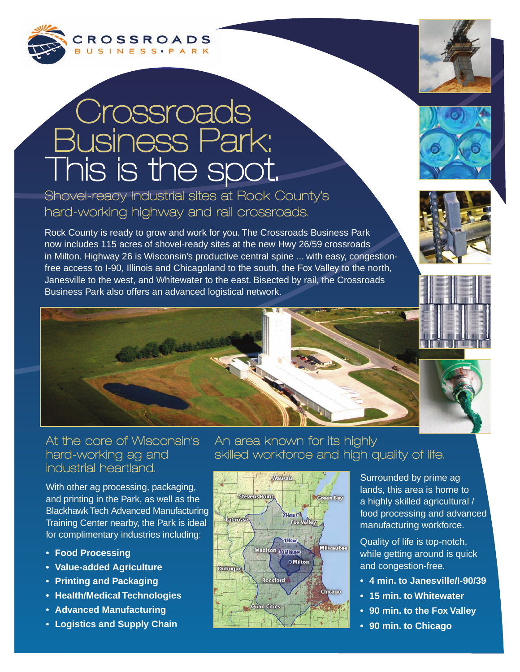

## **Crossroads** Business Park: This is the spot.

Shovel-ready industrial sites at Rock County's hard-working highway and rail crossroads.

Rock County is ready to grow and work for you. The Crossroads Business Park now includes 115 acres of shovel-ready sites at the new Hwy 26/59 crossroads in Milton. Highway 26 is Wisconsin's productive central spine ... with easy, congestionfree access to I-90, Illinois and Chicagoland to the south, the Fox Valley to the north, Janesville to the west, and Whitewater to the east. Bisected by rail, the Crossroads Business Park also offers an advanced logistical network.







## At the core of Wisconsin's hard-working ag and industrial heartland.

With other ag processing, packaging, and printing in the Park, as well as the Blackhawk Tech Advanced Manufacturing Training Center nearby, the Park is ideal for complimentary industries including:

- **Food Processing**
- **Value-added Agriculture**
- **Printing and Packaging**
- **Health/Medical Technologies**
- **Advanced Manufacturing**
- **Logistics and Supply Chain**

## An area known for its highly skilled workforce and high quality of life.



Surrounded by prime ag lands, this area is home to a highly skilled agricultural / food processing and advanced manufacturing workforce.

Quality of life is top-notch, while getting around is quick and congestion-free.

- **4 min. to Janesville/I-90/39**
- **15 min. to Whitewater**
- **90 min. to the Fox Valley**
- **90 min. to Chicago**